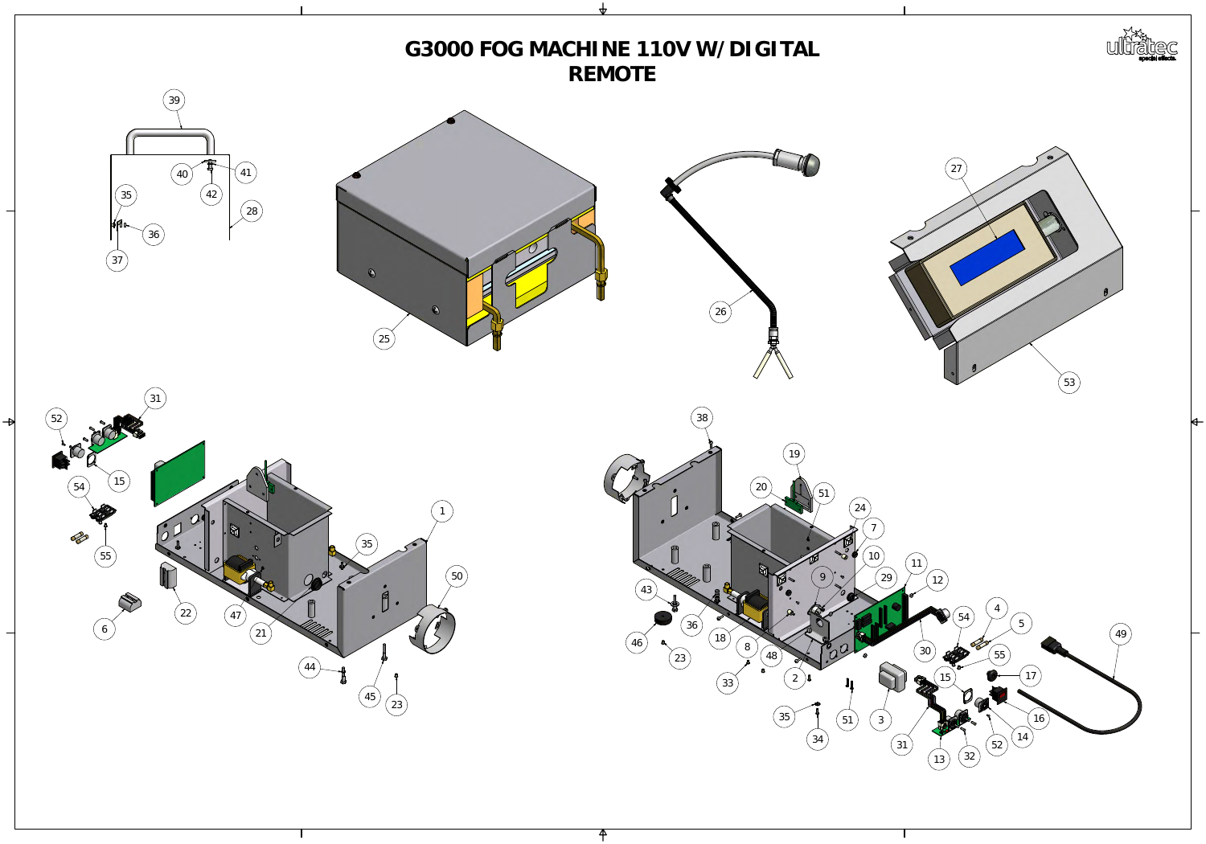

## **G3000FOGMACHINE110VW/DIGITAL REMOTE**

 $\mathbf{\mathsf{P}}$ 

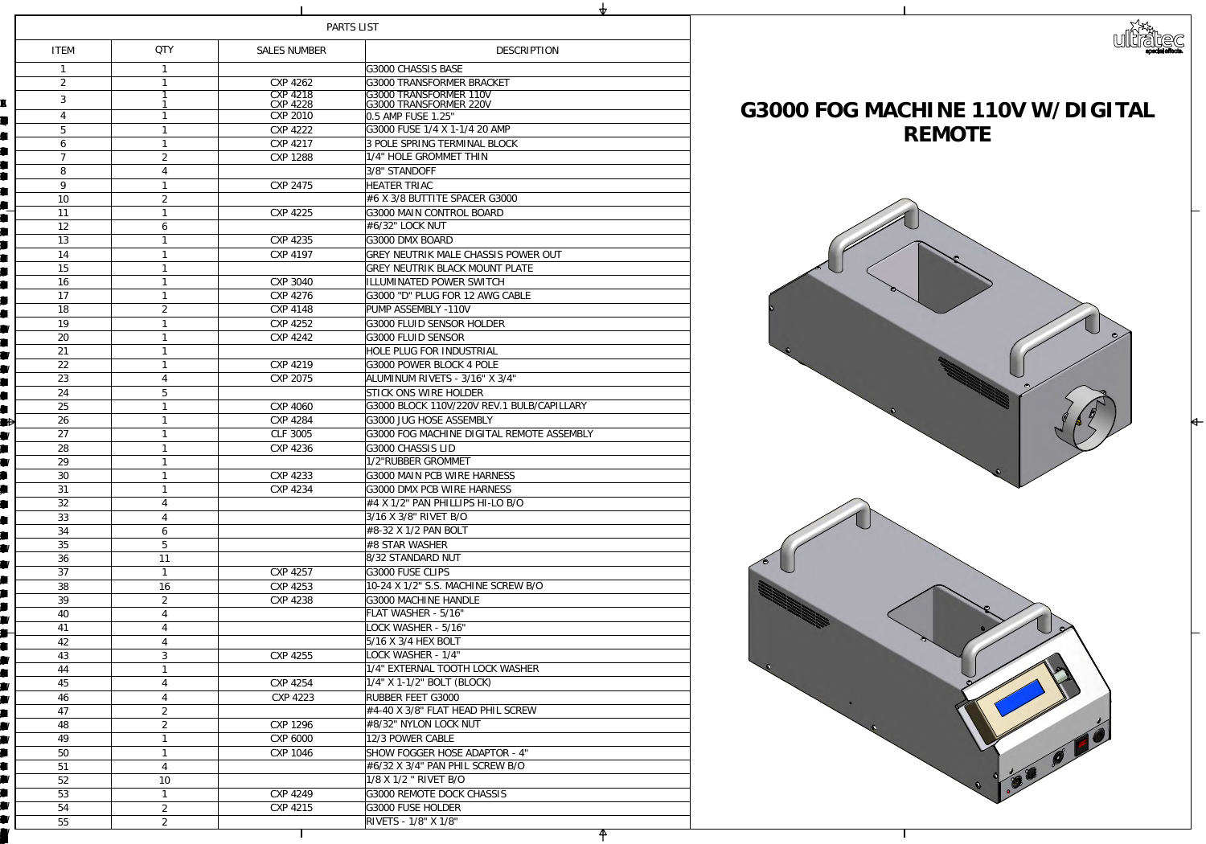

|                                      | PARTS LIST |                  |                           |                                                                      |  |  |
|--------------------------------------|------------|------------------|---------------------------|----------------------------------------------------------------------|--|--|
| <b>ITEM</b>                          |            | <b>QIY</b>       | <b>SALES NUMBER</b>       | <b>DESCRIPTION</b>                                                   |  |  |
|                                      |            |                  |                           | G3000 HASSIS BASE                                                    |  |  |
| $\boldsymbol{z}$                     |            |                  | CNP 4262                  | G3000 TRANSFORMER BRACKET                                            |  |  |
| 3                                    |            |                  | CYP 4218                  | G3000 TRANSFORMER 110V                                               |  |  |
| $\mathbf{R}$                         |            |                  | <b>CYP 4228</b>           | G3000 TRANSFORMER 220V                                               |  |  |
| $\overline{4}$<br>EŲ.                |            |                  | CVP2010                   | $\vert$ Q5AMPFUSE 1.25"                                              |  |  |
| $\overline{5}$<br><b>A</b>           |            |                  | $CP$ $4222$               | G3000 FUSE $1/4X1 - 1/420$ AMP                                       |  |  |
| 6<br>H                               |            |                  | CXP 4217                  | <b><i>BPOLE SPRING TERMINAL BLOCK</i></b>                            |  |  |
| W                                    |            | $\mathcal{Z}$    | <b>CYP 1288</b>           | 1/4" HOLE GROMMET THIN                                               |  |  |
| 8<br>W                               |            | $\overline{4}$   |                           | 3/8' STANDOFF                                                        |  |  |
| 9<br>П                               |            |                  | <b>CYP 2475</b>           | <b>HEATER TRIAC</b>                                                  |  |  |
| <b>10</b><br><b>All</b>              |            | $\mathcal{Z}$    |                           | #6X3⁄8BUTTITE SPACER G3000                                           |  |  |
| H                                    |            |                  | <b>CYP 4225</b>           | G3000MAINCONTROL BOARD                                               |  |  |
| 12<br>H                              |            | 6                |                           | #6⁄32" LOCKNJT                                                       |  |  |
| 13<br>H                              |            |                  | CYP 4235                  | <b>G300DMXBOARD</b>                                                  |  |  |
| 14<br>$\blacksquare$                 |            |                  | CXP 4197                  | GREY NEUTRIK MALE CHASSIS POWER OUT                                  |  |  |
| 15                                   |            |                  |                           | <b>GREY NEUTRIK BLACK MOUNT PLATE</b>                                |  |  |
| 16<br>W                              |            |                  | <b>COP 3040</b>           | <b>ILLUMINATED POWER SWITCH</b>                                      |  |  |
| 17<br><b>The Second Second</b>       |            |                  | CYP4276                   | G3000 "D" PLUG FOR 12 AWG CABLE                                      |  |  |
| 18<br><b>A</b>                       |            | $\mathbf{z}$     | <b>CYP4148</b>            | <b>PUMP ASSEMBLY-11OV</b>                                            |  |  |
| 19<br><b>kar</b>                     |            |                  | COP 4252                  | G3000 FLUD SENSOR HOLDER                                             |  |  |
| $\infty$<br><b>Kar</b>               |            |                  | COP 4242                  | G3000 FLUID SENSOR                                                   |  |  |
| 21<br>I. E                           |            |                  |                           | HOLE PLUG FOR INDUSTRIAL                                             |  |  |
| 22<br>$\blacksquare$                 |            |                  | CXP 4219                  | G3000 POWER BLOCK 4 POLE<br>ALMINMRIVETS - 3/16' X3/4"               |  |  |
| 23<br>K                              |            | $\overline{4}$   | <b>CYP 2075</b>           |                                                                      |  |  |
| 24<br>$\blacksquare$<br>▁▞▁▁▁▁<br>25 |            | 5                |                           | STICK ONS WIRE HOLDER<br>G3000BLOCK 11CV/22CVREV. 1 BUB/CAPILLARY    |  |  |
| <b>A</b>                             |            |                  | CP4000                    | G3000 JUG HOSE ASSEMBLY                                              |  |  |
| 26<br>H<br>27                        |            |                  | <b>CYP 4284</b><br>GF3005 | G3000 FOG MACHINE DIGITAL REMOTE ASSEMBLY                            |  |  |
| W<br>28                              |            |                  | COP 4236                  | G3000 CHASSIS LID                                                    |  |  |
| <b>III</b><br>29                     |            |                  |                           | 1/2'RUBBER GROMMET                                                   |  |  |
| <b>x</b><br><b>IN</b><br>$\infty$    |            |                  | <b>CYP 4233</b>           | G3000MAIN PCB WIRE HARNESS                                           |  |  |
| <b>A</b><br>31                       |            |                  | CNP 4234                  | G3000 DMXPCB WIRE HARNESS                                            |  |  |
| 32<br><b>Franc</b>                   |            | $\overline{4}$   |                           | $\#4X1/Z'$ PANPHILIPS H-LOBO                                         |  |  |
| 33                                   |            | $\overline{4}$   |                           | 3/16X3/8' RIVET BO                                                   |  |  |
| A<br>34                              |            | 6                |                           | #832X1/2PANBOLT                                                      |  |  |
| <b>The Second Second</b><br>35       |            | $\overline{5}$   |                           | $ \# {\rm SSTAR \, WASI\!-\!ER} $                                    |  |  |
| K<br>36                              |            | 11               |                           | 832STANDARD NJT                                                      |  |  |
| <b>III</b><br>37                     |            |                  | CXP 4257                  | <b>G3000 FUSE CLIPS</b>                                              |  |  |
| <b>All</b><br>38                     |            | 16               | CXP 4253                  | 1024 X 1/2' S.S. MACHINE SCREW BO                                    |  |  |
| $\blacksquare$<br>$\mathfrak{B}$     |            | $\boldsymbol{2}$ | <b>CYP4238</b>            | G3000MACHNE HANDLE                                                   |  |  |
| <b>Ta</b><br>40                      |            | $\overline{4}$   |                           | FLATWASHER - 5/16'                                                   |  |  |
| H<br>41                              |            | $\overline{4}$   |                           | LOCKWASHER - 5/16"                                                   |  |  |
| <b>All</b><br>42                     |            | $\overline{4}$   |                           | 5/16X3/4 HEXBOLT                                                     |  |  |
| H<br>43<br><b>Karl</b>               |            | 3                | CNP 4255                  | LOCKWASHER - 1/4"                                                    |  |  |
| 44<br><b>A</b>                       |            |                  |                           | 1/4" EXTERNAL TOOTHLOOK WASHER                                       |  |  |
| 45<br>HI I                           |            | $\overline{4}$   | CNP 4254                  | $1/4$ " X1- $1/2$ " BOLT (BLOOK)                                     |  |  |
| 46<br>W                              |            | $\overline{4}$   | <b>CYP 4223</b>           | RUBBER FEET G3000                                                    |  |  |
| 47<br><b>TAL</b>                     |            | $\mathbf{2}$     |                           | #440X3⁄8' FLATHEADPHLSCREW                                           |  |  |
| 48<br><b>Karl</b>                    |            | $\boldsymbol{z}$ | CNP 1296                  | #8⁄32' MIONLOCKNJT                                                   |  |  |
| 49<br><b>The Second Second</b>       |            |                  | $CVP$ $C00$               | 12/3 POWER CABLE                                                     |  |  |
| 50<br>$\blacksquare$                 |            |                  | <b>CXP 1046</b>           | <b>SHOW FOGGER HOSE ADAPTOR - 4"</b>                                 |  |  |
| K<br>51                              |            | $\overline{4}$   |                           | #632X34" PANPHLSCREW BO                                              |  |  |
| 52                                   |            | <b>10</b>        |                           | $1/8X1/2$ " RIVET BO                                                 |  |  |
| <b>TE</b><br>53                      |            |                  | COP 4249                  | G3000 REMOTE DOCK CHASSIS                                            |  |  |
| W<br>54                              |            | $\boldsymbol{z}$ | CXP 4215                  | <b>G3000 FUSE HOLDER</b>                                             |  |  |
| 55                                   |            | $\boldsymbol{z}$ |                           | $\overline{\mathrm{RWEIS}}$ - $1\mathcal{A}\ \mathrm{X}1\mathcal{A}$ |  |  |
|                                      |            |                  |                           |                                                                      |  |  |

# **REMOTE**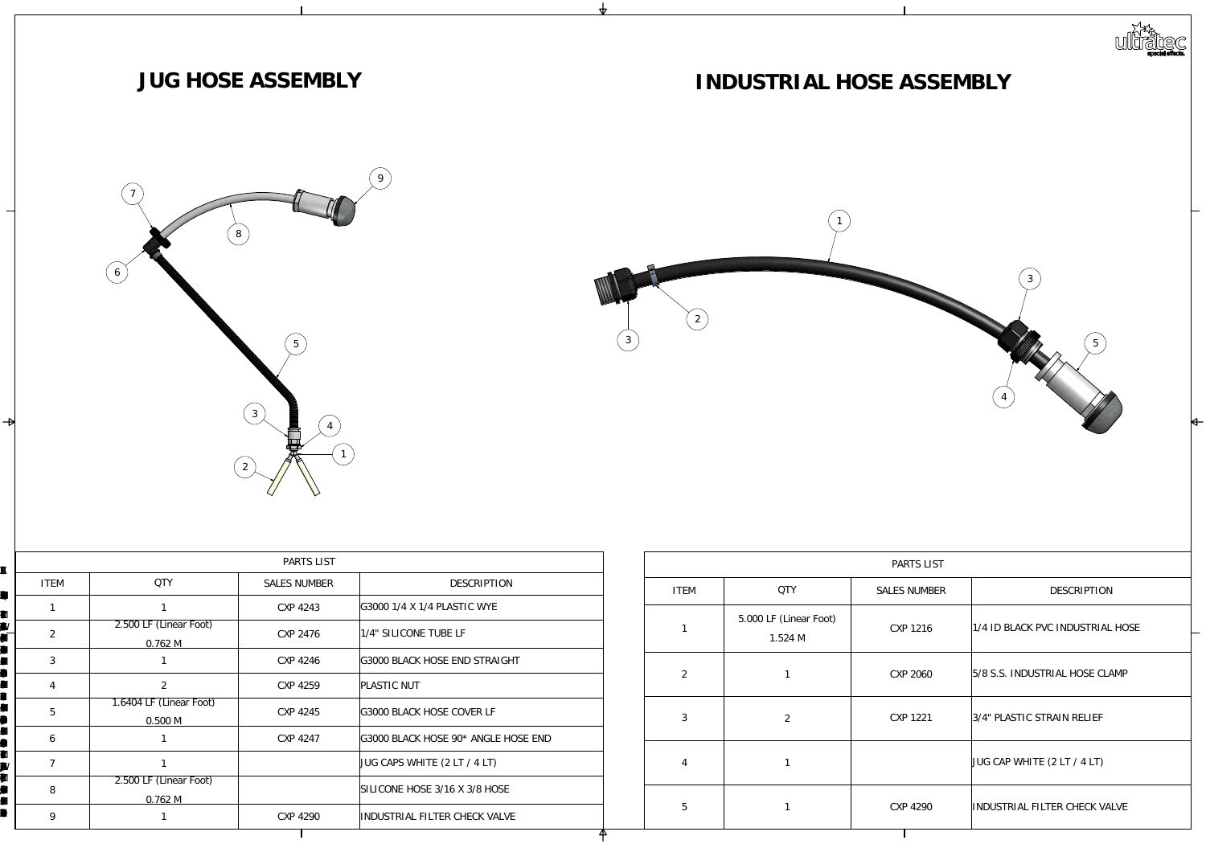|                             |                                  | PARTS LIST          |                                  |  |                |                                | PARTS LIST          |                               |
|-----------------------------|----------------------------------|---------------------|----------------------------------|--|----------------|--------------------------------|---------------------|-------------------------------|
| <b>ITEM</b>                 | QIY                              | <b>SALES NUMBER</b> | DESCRIPTION                      |  | <b>ITEM</b>    | QIY                            | <b>SALES NUMBER</b> | DESCRIPTION                   |
|                             |                                  | CYP 4243            | GG001/4X1/4HASTICWTE             |  |                |                                |                     |                               |
| $\mathbf{z}$                | 2500LF (Linear Foot)<br>Q762M    | <b>CYP 2476</b>     | 1/4" SILICONE TUBE LF            |  |                | 5000LF (Linear Foot)<br>1.524M | CXP 1216            | 1/4IDBLACKPACINDUSTRIALHOSE   |
| 3                           |                                  | CYP4246             | G3000 BLACK HOSE END STRAIGHT    |  | $\mathcal{Z}$  |                                | CP200               | 58S.S. INDUSTRIAL HOSE CLAMP  |
| $\overline{4}$              | $\boldsymbol{z}$                 | CNP 4259            | <b>PLASTICNJT</b>                |  |                |                                |                     |                               |
| $\overline{5}$              | 1.6404 LF (Linear Foot)<br>Q500M | CXP 4245            | G3000 BLACK HOSE COVER LF        |  | 3              | $\mathbf{2}$                   | CXP 1221            | 34 PLASTIC STRAIN RELIEF      |
| $\mathcal{G}$               |                                  | CNP 4247            | G3000BLACKHOSE 90* ANGLEHOSE END |  |                |                                |                     |                               |
|                             |                                  |                     | $JUG$ CAPS WHTE $(2LT / 4LT)$    |  | $\overline{4}$ |                                |                     | $JUG$ CAP WHTE (2LT / 4LT)    |
| $\mathcal{S}_{\mathcal{S}}$ | 2500LF (Linear Foot)<br>Q762M    |                     | SILICONE HOSE 3/16 X3/8 HOSE     |  |                |                                |                     |                               |
| $\Theta$                    |                                  | CNP 4290            | INDUSTRIAL FILTER CHECK VALVE    |  | $\overline{5}$ |                                | CP4290              | INDUSTRIAL FILTER CHECK VALVE |
|                             |                                  |                     |                                  |  |                |                                |                     |                               |





## **INDUSTRIALHOSEASSEMBLY**